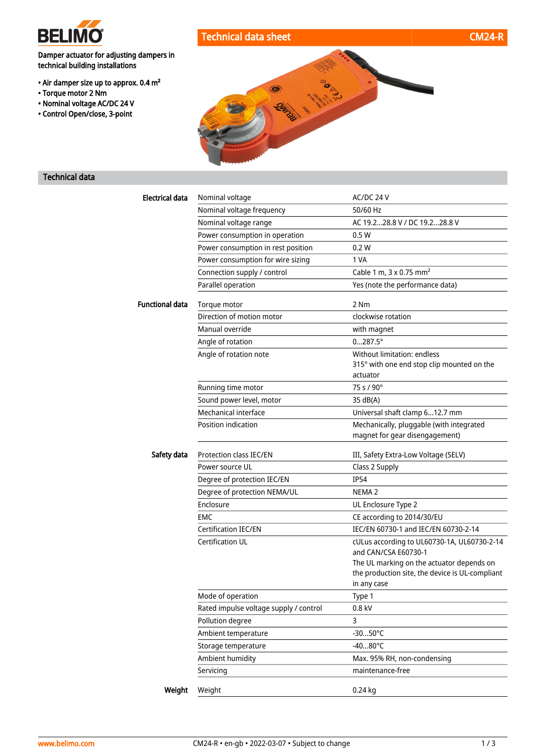

# Technical data sheet CM24-R

Damper actuator for adjusting dampers in technical building installations

- Air damper size up to approx. 0.4 m²
- Torque motor 2 Nm
- Nominal voltage AC/DC 24 V
- Control Open/close, 3-point



## Technical data

| Electrical data        | Nominal voltage                        | AC/DC 24 V                                                                 |
|------------------------|----------------------------------------|----------------------------------------------------------------------------|
|                        | Nominal voltage frequency              | 50/60 Hz                                                                   |
|                        | Nominal voltage range                  | AC 19.228.8 V / DC 19.228.8 V                                              |
|                        | Power consumption in operation         | 0.5W                                                                       |
|                        | Power consumption in rest position     | 0.2 W                                                                      |
|                        | Power consumption for wire sizing      | 1 VA                                                                       |
|                        | Connection supply / control            | Cable 1 m, 3 x 0.75 mm <sup>2</sup>                                        |
|                        | Parallel operation                     | Yes (note the performance data)                                            |
| <b>Functional data</b> | Torque motor                           | 2 Nm                                                                       |
|                        | Direction of motion motor              | clockwise rotation                                                         |
|                        | Manual override                        | with magnet                                                                |
|                        | Angle of rotation                      | $0287.5^{\circ}$                                                           |
|                        | Angle of rotation note                 | Without limitation: endless                                                |
|                        |                                        | 315° with one end stop clip mounted on the                                 |
|                        |                                        | actuator                                                                   |
|                        | Running time motor                     | 75 s / 90°                                                                 |
|                        | Sound power level, motor               | 35 dB(A)                                                                   |
|                        | Mechanical interface                   | Universal shaft clamp 612.7 mm                                             |
|                        | Position indication                    | Mechanically, pluggable (with integrated<br>magnet for gear disengagement) |
| Safety data            | Protection class IEC/EN                | III, Safety Extra-Low Voltage (SELV)                                       |
|                        | Power source UL                        | Class 2 Supply                                                             |
|                        | Degree of protection IEC/EN            | <b>IP54</b>                                                                |
|                        | Degree of protection NEMA/UL           | NEMA <sub>2</sub>                                                          |
|                        | Enclosure                              | UL Enclosure Type 2                                                        |
|                        | <b>EMC</b>                             | CE according to 2014/30/EU                                                 |
|                        | <b>Certification IEC/EN</b>            | IEC/EN 60730-1 and IEC/EN 60730-2-14                                       |
|                        | Certification UL                       | cULus according to UL60730-1A, UL60730-2-14<br>and CAN/CSA E60730-1        |
|                        |                                        | The UL marking on the actuator depends on                                  |
|                        |                                        | the production site, the device is UL-compliant                            |
|                        |                                        | in any case                                                                |
|                        | Mode of operation                      | Type 1                                                                     |
|                        | Rated impulse voltage supply / control | 0.8 kV                                                                     |
|                        | Pollution degree                       | 3                                                                          |
|                        | Ambient temperature                    | $-3050^{\circ}$ C                                                          |
|                        | Storage temperature                    | $-4080^{\circ}$ C                                                          |
|                        | Ambient humidity                       | Max. 95% RH, non-condensing                                                |
|                        | Servicing                              | maintenance-free                                                           |
| Weight                 | Weight                                 | $0.24$ kg                                                                  |
|                        |                                        |                                                                            |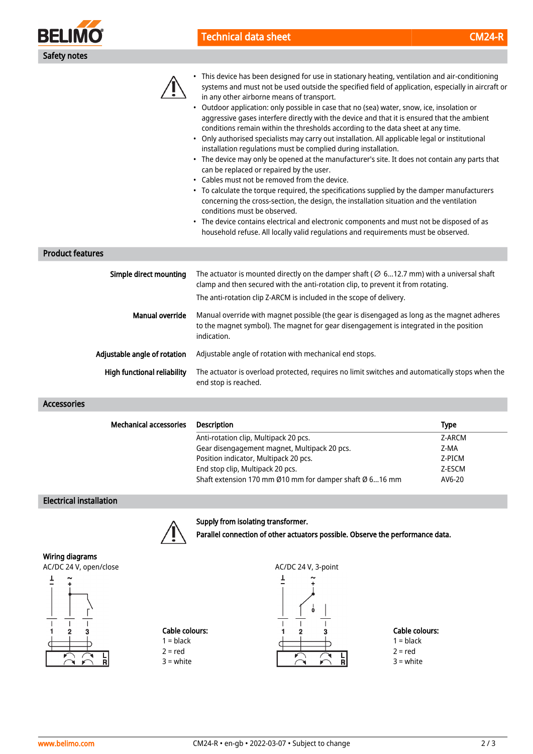

# Technical data sheet CM24-R



• This device has been designed for use in stationary heating, ventilation and air-conditioning systems and must not be used outside the specified field of application, especially in aircraft or in any other airborne means of transport.

- Outdoor application: only possible in case that no (sea) water, snow, ice, insolation or aggressive gases interfere directly with the device and that it is ensured that the ambient conditions remain within the thresholds according to the data sheet at any time.
- Only authorised specialists may carry out installation. All applicable legal or institutional installation regulations must be complied during installation.
- The device may only be opened at the manufacturer's site. It does not contain any parts that can be replaced or repaired by the user.
- Cables must not be removed from the device.
- To calculate the torque required, the specifications supplied by the damper manufacturers concerning the cross-section, the design, the installation situation and the ventilation conditions must be observed.
- The device contains electrical and electronic components and must not be disposed of as household refuse. All locally valid regulations and requirements must be observed.

## Product features

| Simple direct mounting       | The actuator is mounted directly on the damper shaft ( $\varnothing$ 612.7 mm) with a universal shaft<br>clamp and then secured with the anti-rotation clip, to prevent it from rotating.<br>The anti-rotation clip Z-ARCM is included in the scope of delivery. |  |
|------------------------------|------------------------------------------------------------------------------------------------------------------------------------------------------------------------------------------------------------------------------------------------------------------|--|
| Manual override              | Manual override with magnet possible (the gear is disengaged as long as the magnet adheres<br>to the magnet symbol). The magnet for gear disengagement is integrated in the position<br>indication.                                                              |  |
| Adjustable angle of rotation | Adjustable angle of rotation with mechanical end stops.                                                                                                                                                                                                          |  |
| High functional reliability  | The actuator is overload protected, requires no limit switches and automatically stops when the<br>end stop is reached.                                                                                                                                          |  |

#### Accessories

| <b>Mechanical accessories</b> | <b>Description</b>                                      | <b>Type</b> |
|-------------------------------|---------------------------------------------------------|-------------|
|                               | Anti-rotation clip, Multipack 20 pcs.                   | Z-ARCM      |
|                               | Gear disengagement magnet, Multipack 20 pcs.            | Z-MA        |
|                               | Position indicator, Multipack 20 pcs.                   | Z-PICM      |
|                               | End stop clip, Multipack 20 pcs.                        | Z-ESCM      |
|                               | Shaft extension 170 mm Ø10 mm for damper shaft Ø 616 mm | AV6-20      |

### Electrical installation

Supply from isolating transformer.



Wiring diagrams







Parallel connection of other actuators possible. Observe the performance data.

Cable colours:  $1 = **black**$  $2 = red$ 

 $3 =$  white